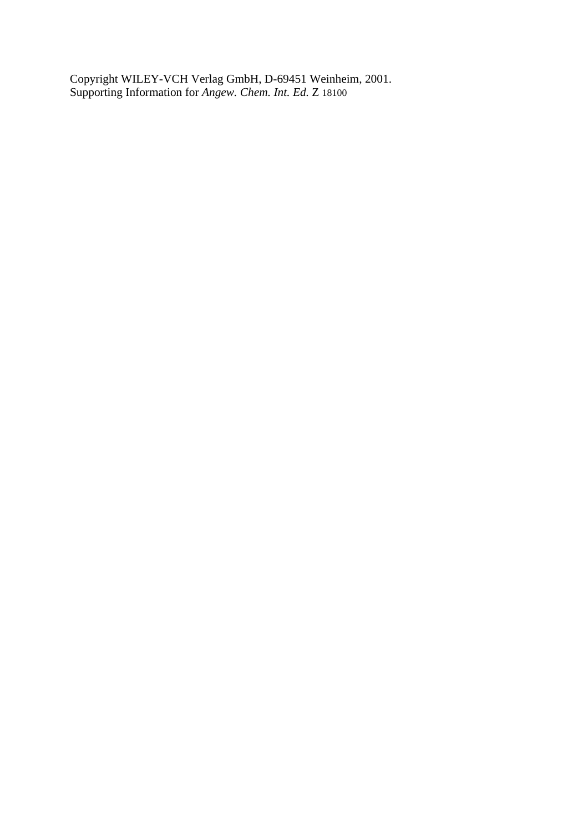Copyright WILEY-VCH Verlag GmbH, D-69451 Weinheim, 2001. Supporting Information for *Angew. Chem. Int. Ed.* Z 18100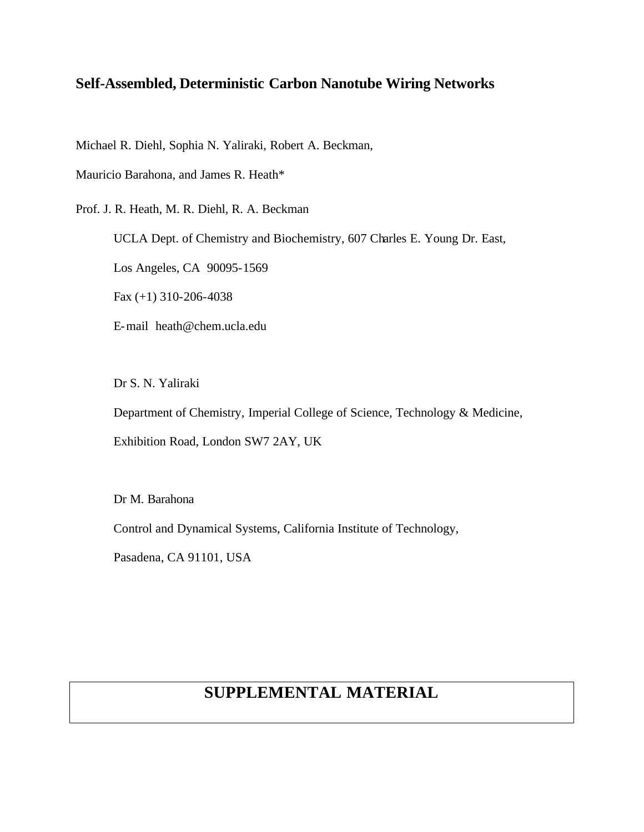## **Self-Assembled, Deterministic Carbon Nanotube Wiring Networks**

Michael R. Diehl, Sophia N. Yaliraki, Robert A. Beckman,

Mauricio Barahona, and James R. Heath\*

Prof. J. R. Heath, M. R. Diehl, R. A. Beckman

UCLA Dept. of Chemistry and Biochemistry, 607 Charles E. Young Dr. East,

Los Angeles, CA 90095-1569

Fax (+1) 310-206-4038

E-mail heath@chem.ucla.edu

Dr S. N. Yaliraki

Department of Chemistry, Imperial College of Science, Technology & Medicine,

Exhibition Road, London SW7 2AY, UK

Dr M. Barahona

Control and Dynamical Systems, California Institute of Technology,

Pasadena, CA 91101, USA

## **SUPPLEMENTAL MATERIAL**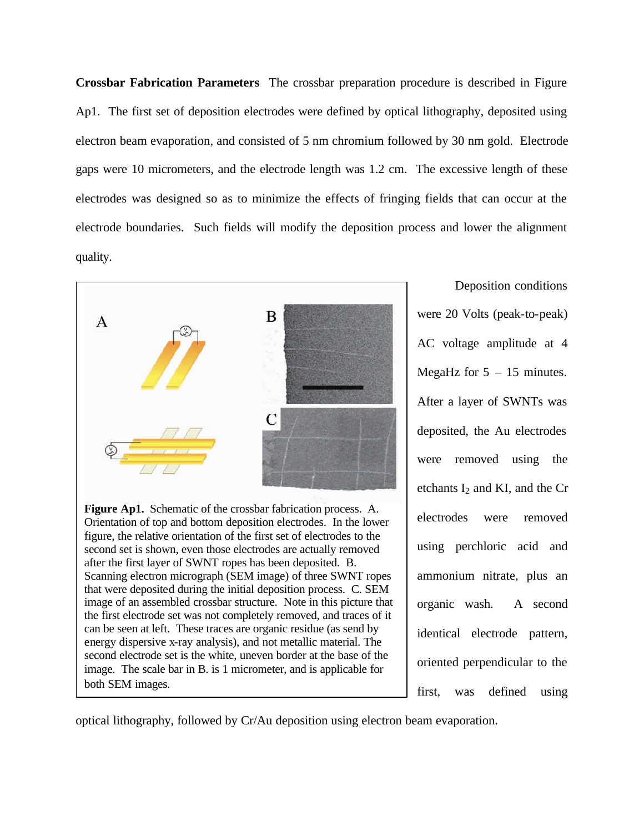**Crossbar Fabrication Parameters** The crossbar preparation procedure is described in Figure Ap1. The first set of deposition electrodes were defined by optical lithography, deposited using electron beam evaporation, and consisted of 5 nm chromium followed by 30 nm gold. Electrode gaps were 10 micrometers, and the electrode length was 1.2 cm. The excessive length of these electrodes was designed so as to minimize the effects of fringing fields that can occur at the electrode boundaries. Such fields will modify the deposition process and lower the alignment quality.



image. The scale bar in B. is 1 micrometer, and is applicable for

both SEM images.

Deposition conditions were 20 Volts (peak-to-peak) AC voltage amplitude at 4 MegaHz for  $5 - 15$  minutes. After a layer of SWNTs was deposited, the Au electrodes were removed using the etchants  $I_2$  and KI, and the Cr electrodes were removed using perchloric acid and ammonium nitrate, plus an organic wash. A second identical electrode pattern, oriented perpendicular to the first, was defined using

optical lithography, followed by Cr/Au deposition using electron beam evaporation.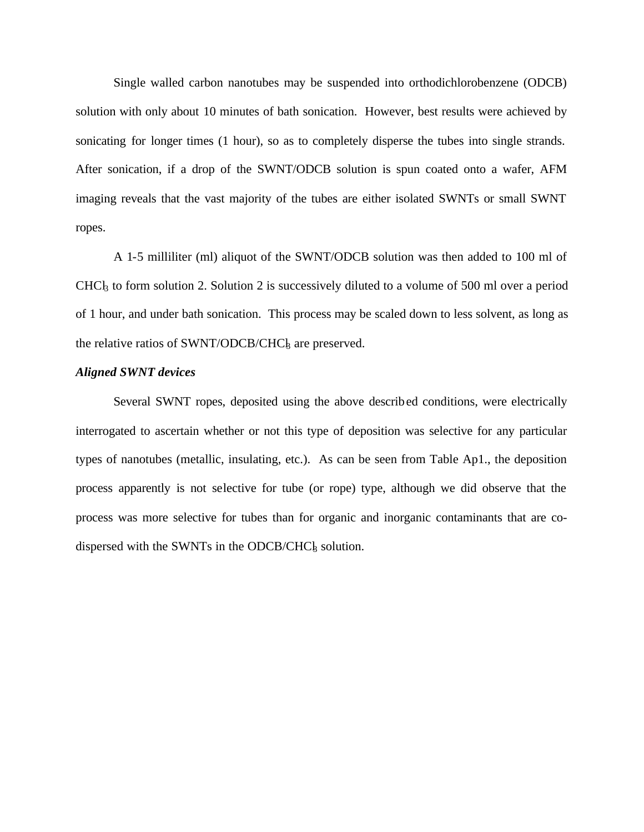Single walled carbon nanotubes may be suspended into orthodichlorobenzene (ODCB) solution with only about 10 minutes of bath sonication. However, best results were achieved by sonicating for longer times (1 hour), so as to completely disperse the tubes into single strands. After sonication, if a drop of the SWNT/ODCB solution is spun coated onto a wafer, AFM imaging reveals that the vast majority of the tubes are either isolated SWNTs or small SWNT ropes.

A 1-5 milliliter (ml) aliquot of the SWNT/ODCB solution was then added to 100 ml of CHC $\rm k$  to form solution 2. Solution 2 is successively diluted to a volume of 500 ml over a period of 1 hour, and under bath sonication. This process may be scaled down to less solvent, as long as the relative ratios of SWNT/ODCB/CHC<sub>b</sub> are preserved.

## *Aligned SWNT devices*

Several SWNT ropes, deposited using the above described conditions, were electrically interrogated to ascertain whether or not this type of deposition was selective for any particular types of nanotubes (metallic, insulating, etc.). As can be seen from Table Ap1., the deposition process apparently is not selective for tube (or rope) type, although we did observe that the process was more selective for tubes than for organic and inorganic contaminants that are codispersed with the SWNTs in the ODCB/CHC $\frac{1}{3}$  solution.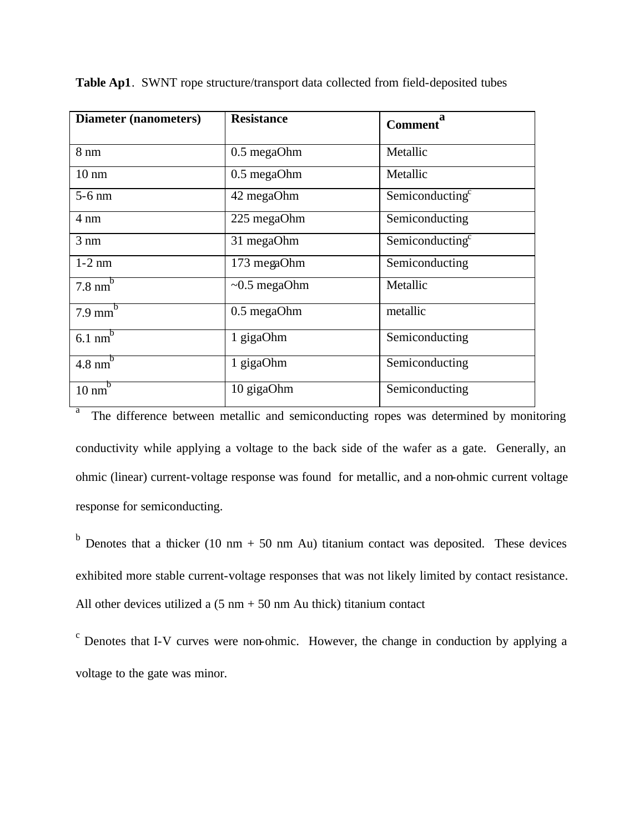| <b>Diameter (nanometers)</b>    | <b>Resistance</b>  | a<br><b>Comment</b>         |
|---------------------------------|--------------------|-----------------------------|
| $8 \text{ nm}$                  | 0.5 megaOhm        | Metallic                    |
| $10 \text{ nm}$                 | 0.5 megaOhm        | Metallic                    |
| $5-6$ nm                        | 42 megaOhm         | Semiconducting <sup>c</sup> |
| $4 \text{ nm}$                  | 225 megaOhm        | Semiconducting              |
| $3 \text{ nm}$                  | 31 megaOhm         | Semiconducting <sup>c</sup> |
| $1-2$ nm                        | 173 megaOhm        | Semiconducting              |
| $7.8 \text{ nm}^{\overline{b}}$ | $\sim 0.5$ megaOhm | Metallic                    |
| $7.9 \overline{\text{mm}^b}$    | 0.5 megaOhm        | metallic                    |
| $6.1 \text{ nm}^b$              | 1 gigaOhm          | Semiconducting              |
| $4.8 \text{ nm}^b$              | 1 gigaOhm          | Semiconducting              |
| $10 \text{ nm}^b$               | 10 gigaOhm         | Semiconducting              |

**Table Ap1**. SWNT rope structure/transport data collected from field-deposited tubes

a The difference between metallic and semiconducting ropes was determined by monitoring conductivity while applying a voltage to the back side of the wafer as a gate. Generally, an ohmic (linear) current-voltage response was found for metallic, and a non-ohmic current voltage response for semiconducting.

 $b$  Denotes that a thicker (10 nm + 50 nm Au) titanium contact was deposited. These devices exhibited more stable current-voltage responses that was not likely limited by contact resistance. All other devices utilized a  $(5 \text{ nm} + 50 \text{ nm}$  Au thick) titanium contact

<sup>c</sup> Denotes that I-V curves were non-ohmic. However, the change in conduction by applying a voltage to the gate was minor.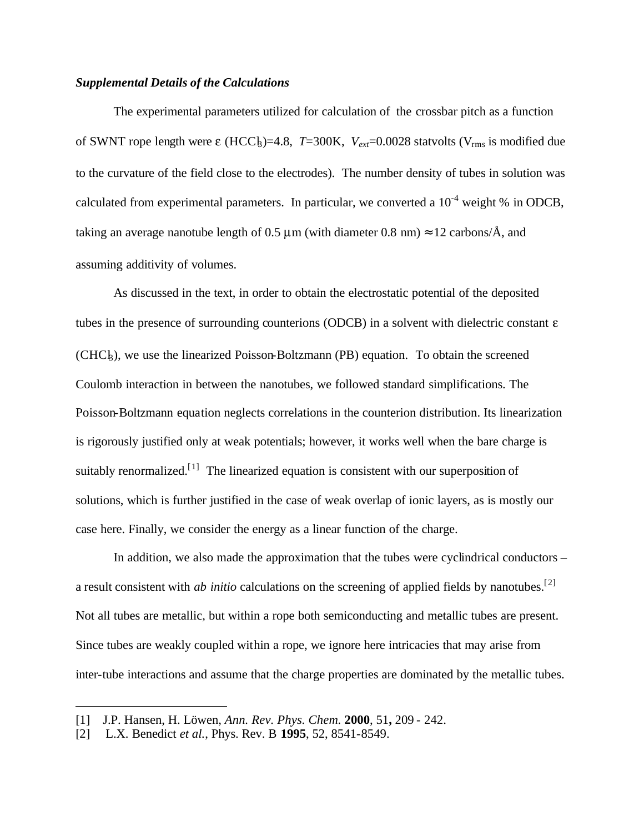## *Supplemental Details of the Calculations*

The experimental parameters utilized for calculation of the crossbar pitch as a function of SWNT rope length were  $\varepsilon$  (HCCl<sub>3</sub>)=4.8, *T*=300K,  $V_{ext}$ =0.0028 statvolts ( $V_{rms}$  is modified due to the curvature of the field close to the electrodes). The number density of tubes in solution was calculated from experimental parameters. In particular, we converted a  $10^{-4}$  weight % in ODCB, taking an average nanotube length of 0.5  $\mu$ m (with diameter 0.8 nm)  $\approx$  12 carbons/ $\AA$ , and assuming additivity of volumes.

As discussed in the text, in order to obtain the electrostatic potential of the deposited tubes in the presence of surrounding counterions (ODCB) in a solvent with dielectric constant  $\varepsilon$  $(CHC<sub>k</sub>)$ , we use the linearized Poisson-Boltzmann (PB) equation. To obtain the screened Coulomb interaction in between the nanotubes, we followed standard simplifications. The Poisson-Boltzmann equation neglects correlations in the counterion distribution. Its linearization is rigorously justified only at weak potentials; however, it works well when the bare charge is suitably renormalized.<sup>[1]</sup> The linearized equation is consistent with our superposition of solutions, which is further justified in the case of weak overlap of ionic layers, as is mostly our case here. Finally, we consider the energy as a linear function of the charge.

In addition, we also made the approximation that the tubes were cyclindrical conductors – a result consistent with *ab initio* calculations on the screening of applied fields by nanotubes.[2] Not all tubes are metallic, but within a rope both semiconducting and metallic tubes are present. Since tubes are weakly coupled within a rope, we ignore here intricacies that may arise from inter-tube interactions and assume that the charge properties are dominated by the metallic tubes.

 $\overline{a}$ 

<sup>[1]</sup> J.P. Hansen, H. Löwen, *Ann. Rev. Phys. Chem.* **2000**, 51**,** 209 - 242.

<sup>[2]</sup> L.X. Benedict *et al.*, Phys. Rev. B **1995**, 52, 8541-8549.